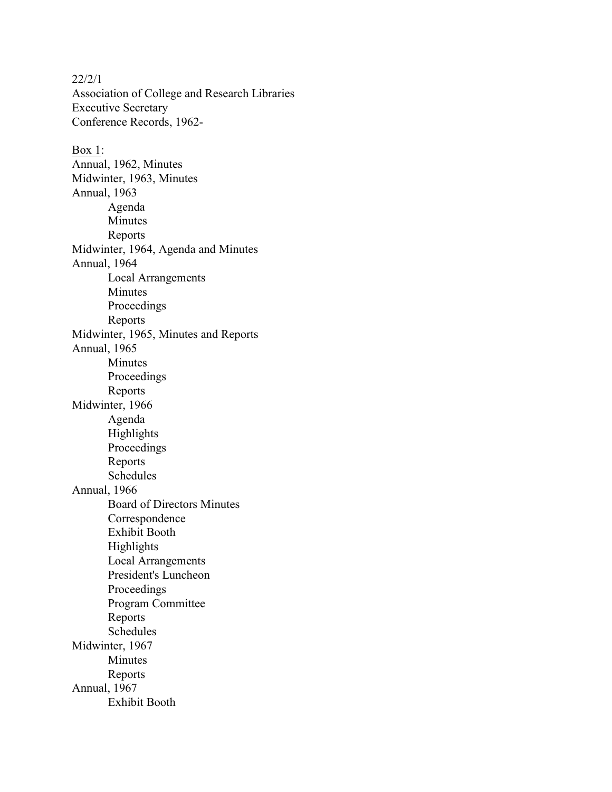22/2/1 Association of College and Research Libraries Executive Secretary Conference Records, 1962- Box 1: Annual, 1962, Minutes Midwinter, 1963, Minutes Annual, 1963 Agenda Minutes Reports Midwinter, 1964, Agenda and Minutes Annual, 1964 Local Arrangements Minutes Proceedings Reports Midwinter, 1965, Minutes and Reports Annual, 1965 Minutes Proceedings Reports Midwinter, 1966 Agenda Highlights Proceedings Reports Schedules Annual, 1966 Board of Directors Minutes Correspondence Exhibit Booth Highlights Local Arrangements President's Luncheon Proceedings Program Committee Reports **Schedules** Midwinter, 1967 Minutes Reports Annual, 1967 Exhibit Booth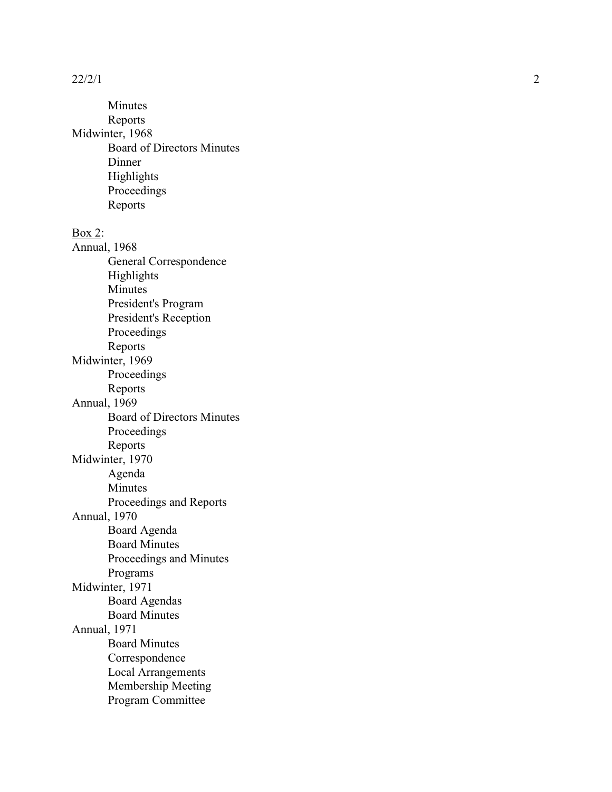22/2/ 1

Minutes Report s Midwinter, 1968 Board of Directors Minutes Dinner Hi ghli ghts Proceed i ngs Report s

Box 2:

Annual, 1968 General Correspondence Hi ghli ghts Minutes President's Program President's Reception Proceedings Report s Midwinter, 1969 Proceedings Report s Annual, 1969 Board of Directors Minutes Proceedings Report s Midwinter, 1970 Agenda Minutes Proceedings and Reports Annual, 1970 Board Agenda Board Minutes Proceedings and Minutes Programs Midwinter, 1971 Board Agendas Board Minutes Annual, 1971 Board Minutes Correspondence Local Arrangements Membership Meeting Program Committee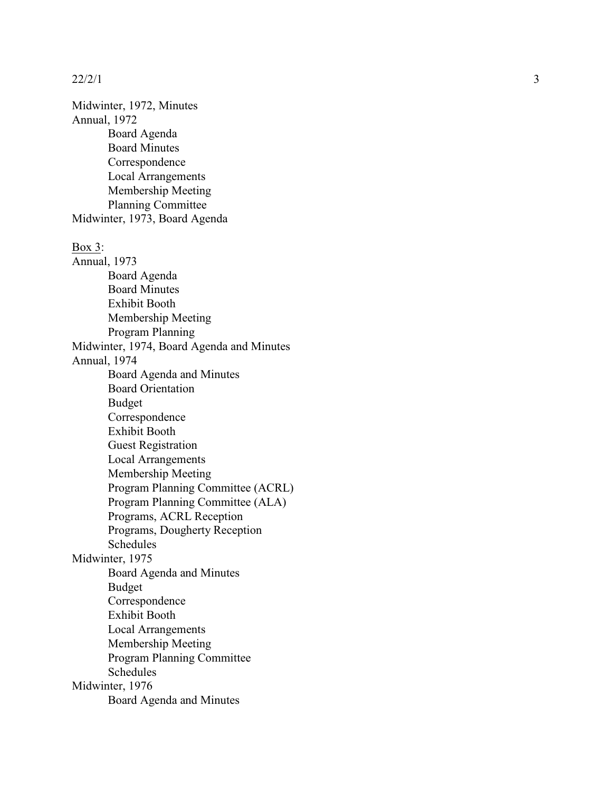## 22/2/ 1

Midwinter, 1972, Minutes Annual, 1972 Board Agenda Board Minutes **Correspondence** Local Arrangements Membership Meeting Planning Committee Midwinter, 1973, Board A genda Box 3: Annual, 1973 Board Agenda Board Minutes Exhibit Booth Membership Meeting Program Planning Midwinter, 1974, Board A genda and Minutes Annual, 1974 Board Agenda and Minutes Board Orientation Budget Correspondence Exhibit Booth Guest Registration Local Arrangements Membership Meeting Program Planning Committee (ACRL) Program Planning Committee (A LA) Programs, ACRL Reception Programs, Dougherty Reception Schedules Midwinter, 1975 Board Agenda and Minutes Budget Correspondence Exhibit Booth Local Arrangements Membership Meeting Program Planning Committee Schedules Midwinter, 1976 Board Agenda and Minutes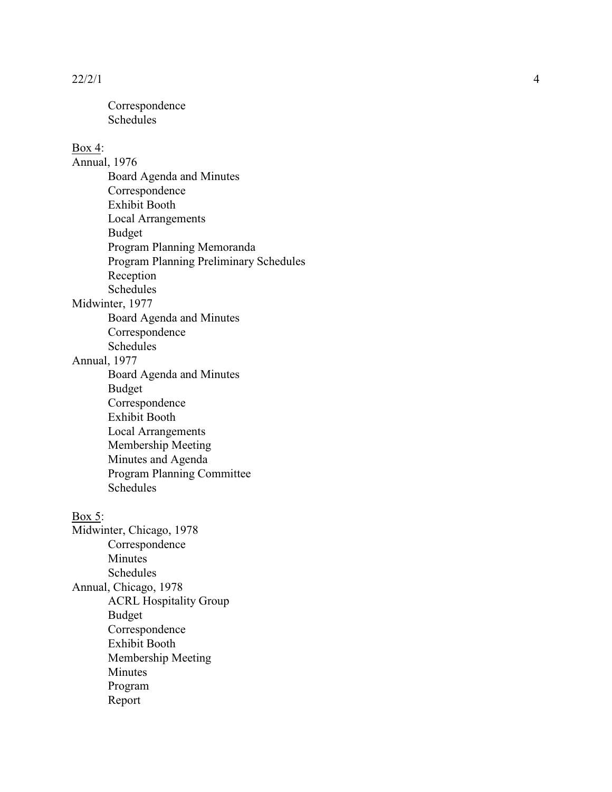22/2/ 1

Correspondence Schedules

## Box 4:

Annual, 1976 Board Agenda and Minutes Correspondence Exhibit Booth Local Arrangements Budget Program Planning Memoranda Program Planning Preliminary Schedules Reception Schedules Midwinter, 1977 Board Agenda and Minutes Correspondence Schedules Annual, 1977 Board Agenda and Minutes Budget Correspondence Exhibit Booth Local Arrangements Membership Meeting Minutes and Agenda Program Planning Committee Schedules Midwinter, Chicago, 1978 Correspondence Minutes Schedules ACRL Hospitality Group

# Box  $5$ :

Annual, Chicago, 1978 Budget Correspondence Exhibit Booth Membership Meeting Minutes Program Report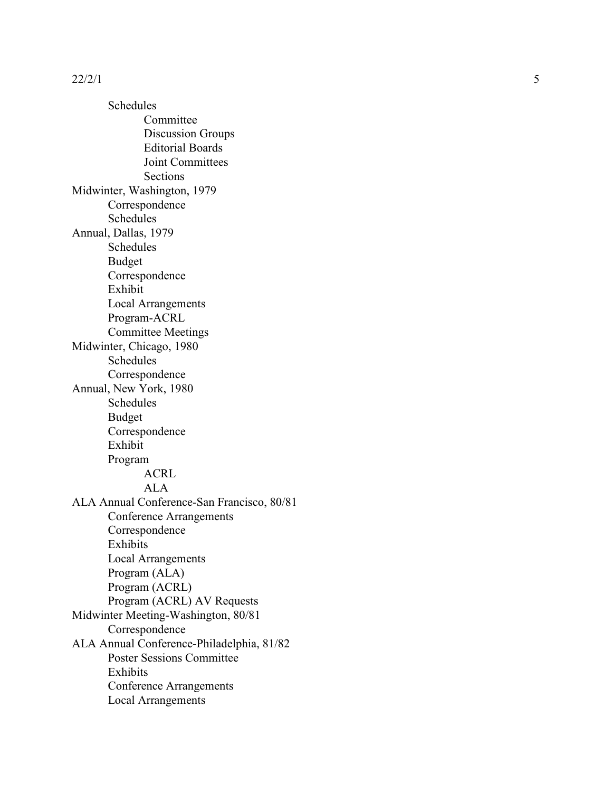Schedules Committee Discussion Groups Editorial Boards Joint Committees Sections Midwinter, Washington, 1979 Correspondence Schedules Annual, Dallas, 1979 Schedules Budget Correspondence Exhibit Local Arr ang ements Program-ACRL Committee Meetings Midwinter, Chicago, 1980 Schedules Correspondence Annual, New York, 1980 Schedules Budget Correspondence Exhibit Program ACRL ALA ALA Annual Conference-San Francisco, 80/81 Conferenc e Arrang ements Correspondence Exhibit s Loc al Arr ang ements Program (A LA) Program (ACRL) Program (ACRL) AV Requests Midwinter Meeting-Washington, 80/81 Correspondence ALA Annual Conference-Philadelphia, 81/82 Poster Sessions Committee Exhibit s Conferenc e Arrang ements Loc al Arr ang ements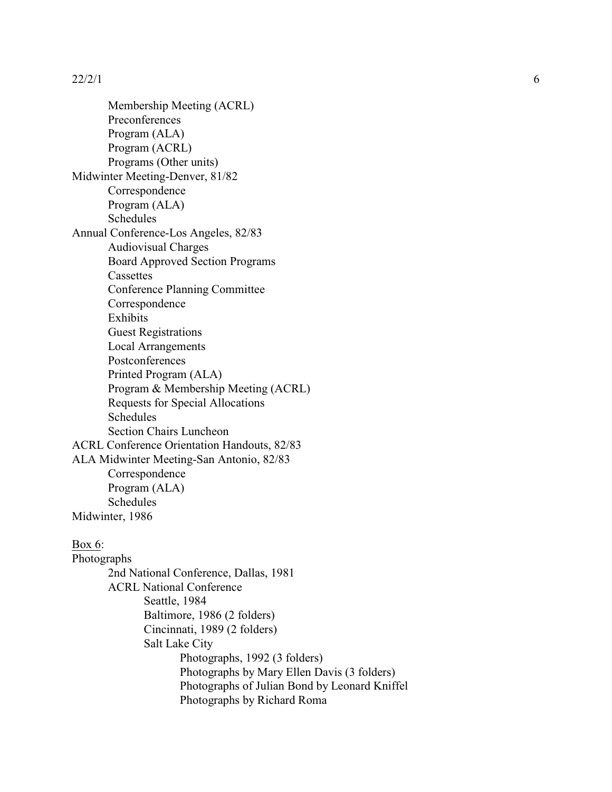Membership Meeting (ACRL) Preconferences Program (ALA) Program (ACRL) Programs (Other units) Midwinter Meeting-Denver, 81/82 Correspondence Program (ALA) Schedules Annual Conference-Los Angeles, 82/83 Audiovisual Charges Board Approved Section Programs **Cassettes** Conference Planning Committee Correspondence Exhibits Guest Registrations Local Arrangements Postconferences Printed Program (ALA) Program & Membership Meeting (ACRL) Requests for Special Allocations **Schedules** Section Chairs Luncheon ACRL Conference Orientation Handouts, 82/83 ALA Midwinter Meeting-San Antonio, 82/83 Correspondence Program (ALA) **Schedules** Midwinter, 1986 Box 6: Photographs 2nd National Conference, Dallas, 1981 ACRL National Conference Seattle, 1984 Baltimore, 1986 (2 folders) Cincinnati, 1989 (2 folders)

Salt Lake City

Photographs, 1992 (3 folders) Photographs by Mary Ellen Davis (3 folders) Photographs of Julian Bond by Leonard Kniffel Photographs by Richard Roma